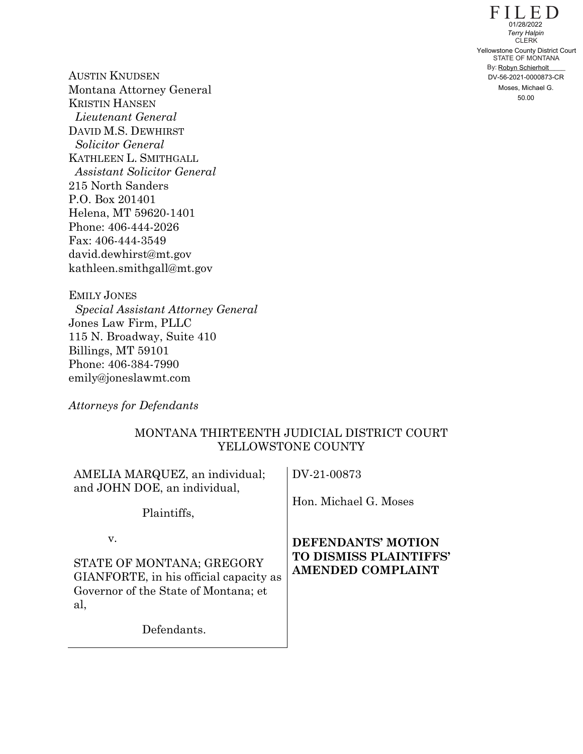FILED STATE OF MONTANA By: Robyn Schierholt **CLERK** 50.00 Yellowstone County District Court DV-56-2021-0000873-CR 01/28/2022 *Terry Halpin* Moses, Michael G.

AUSTIN KNUDSEN Montana Attorney General KRISTIN HANSEN *Lieutenant General* DAVID M.S. DEWHIRST *Solicitor General* KATHLEEN L. SMITHGALL *Assistant Solicitor General* 215 North Sanders P.O. Box 201401 Helena, MT 59620-1401 Phone: 406-444-2026 Fax: 406-444-3549 david.dewhirst@mt.gov kathleen.smithgall@mt.gov

EMILY JONES *Special Assistant Attorney General* Jones Law Firm, PLLC 115 N. Broadway, Suite 410 Billings, MT 59101 Phone: 406-384-7990 emily@joneslawmt.com

*Attorneys for Defendants*

## MONTANA THIRTEENTH JUDICIAL DISTRICT COURT YELLOWSTONE COUNTY

| AMELIA MARQUEZ, an individual;<br>and JOHN DOE, an individual,<br>Plaintiffs,                                            | DV-21-00873<br>Hon. Michael G. Moses                                     |
|--------------------------------------------------------------------------------------------------------------------------|--------------------------------------------------------------------------|
| V.<br>STATE OF MONTANA; GREGORY<br>GIANFORTE, in his official capacity as<br>Governor of the State of Montana; et<br>al, | DEFENDANTS' MOTION<br>TO DISMISS PLAINTIFFS'<br><b>AMENDED COMPLAINT</b> |
| Defendants.                                                                                                              |                                                                          |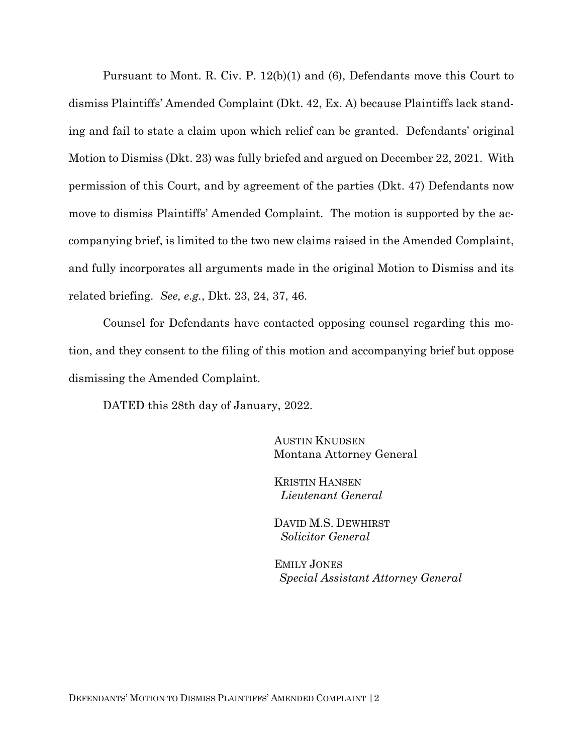Pursuant to Mont. R. Civ. P. 12(b)(1) and (6), Defendants move this Court to dismiss Plaintiffs' Amended Complaint (Dkt. 42, Ex. A) because Plaintiffs lack standing and fail to state a claim upon which relief can be granted. Defendants' original Motion to Dismiss (Dkt. 23) was fully briefed and argued on December 22, 2021. With permission of this Court, and by agreement of the parties (Dkt. 47) Defendants now move to dismiss Plaintiffs' Amended Complaint. The motion is supported by the accompanying brief, is limited to the two new claims raised in the Amended Complaint, and fully incorporates all arguments made in the original Motion to Dismiss and its related briefing. *See, e.g.*, Dkt. 23, 24, 37, 46.

Counsel for Defendants have contacted opposing counsel regarding this motion, and they consent to the filing of this motion and accompanying brief but oppose dismissing the Amended Complaint.

DATED this 28th day of January, 2022.

AUSTIN KNUDSEN Montana Attorney General

KRISTIN HANSEN *Lieutenant General*

DAVID M.S. DEWHIRST  *Solicitor General*

EMILY JONES *Special Assistant Attorney General*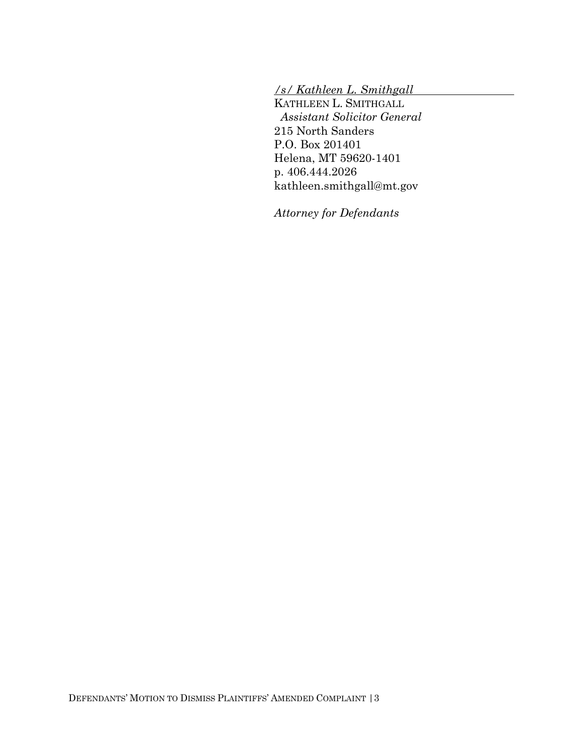*/s/ Kathleen L. Smithgall* 

KATHLEEN L. SMITHGALL *Assistant Solicitor General* 215 North Sanders P.O. Box 201401 Helena, MT 59620-1401 p. 406.444.2026 kathleen.smithgall@mt.gov

*Attorney for Defendants*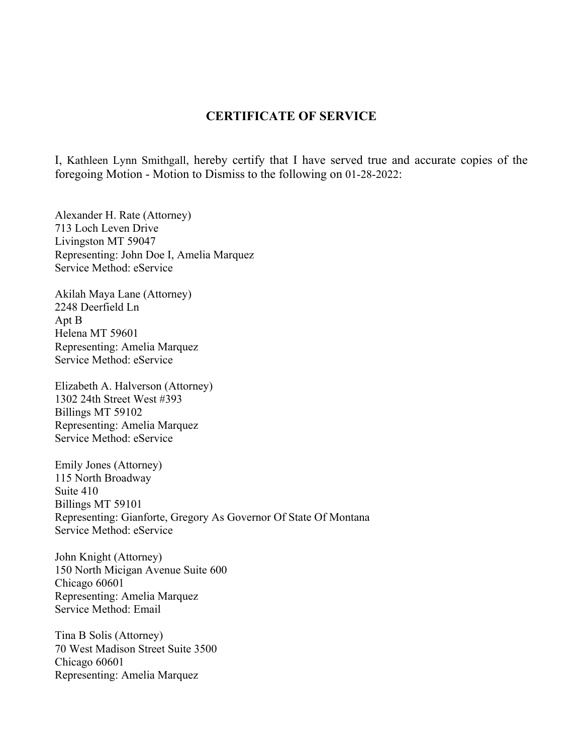## **CERTIFICATE OF SERVICE**

I, Kathleen Lynn Smithgall, hereby certify that I have served true and accurate copies of the foregoing Motion - Motion to Dismiss to the following on 01-28-2022:

Alexander H. Rate (Attorney) 713 Loch Leven Drive Livingston MT 59047 Representing: John Doe I, Amelia Marquez Service Method: eService

Akilah Maya Lane (Attorney) 2248 Deerfield Ln Apt B Helena MT 59601 Representing: Amelia Marquez Service Method: eService

Elizabeth A. Halverson (Attorney) 1302 24th Street West #393 Billings MT 59102 Representing: Amelia Marquez Service Method: eService

Emily Jones (Attorney) 115 North Broadway Suite 410 Billings MT 59101 Representing: Gianforte, Gregory As Governor Of State Of Montana Service Method: eService

John Knight (Attorney) 150 North Micigan Avenue Suite 600 Chicago 60601 Representing: Amelia Marquez Service Method: Email

Tina B Solis (Attorney) 70 West Madison Street Suite 3500 Chicago 60601 Representing: Amelia Marquez